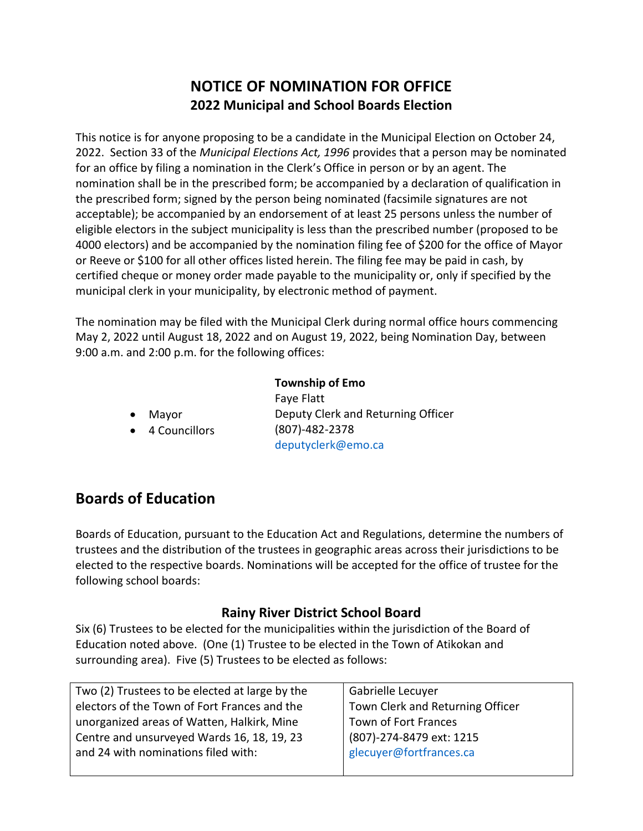# **NOTICE OF NOMINATION FOR OFFICE 2022 Municipal and School Boards Election**

This notice is for anyone proposing to be a candidate in the Municipal Election on October 24, 2022. Section 33 of the *Municipal Elections Act, 1996* provides that a person may be nominated for an office by filing a nomination in the Clerk's Office in person or by an agent. The nomination shall be in the prescribed form; be accompanied by a declaration of qualification in the prescribed form; signed by the person being nominated (facsimile signatures are not acceptable); be accompanied by an endorsement of at least 25 persons unless the number of eligible electors in the subject municipality is less than the prescribed number (proposed to be 4000 electors) and be accompanied by the nomination filing fee of \$200 for the office of Mayor or Reeve or \$100 for all other offices listed herein. The filing fee may be paid in cash, by certified cheque or money order made payable to the municipality or, only if specified by the municipal clerk in your municipality, by electronic method of payment.

The nomination may be filed with the Municipal Clerk during normal office hours commencing May 2, 2022 until August 18, 2022 and on August 19, 2022, being Nomination Day, between 9:00 a.m. and 2:00 p.m. for the following offices:

|           |                 | <b>Township of Emo</b>             |  |
|-----------|-----------------|------------------------------------|--|
|           |                 | Faye Flatt                         |  |
| $\bullet$ | Mayor           | Deputy Clerk and Returning Officer |  |
|           | • 4 Councillors | $(807) - 482 - 2378$               |  |
|           |                 | deputyclerk@emo.ca                 |  |

# **Boards of Education**

Boards of Education, pursuant to the Education Act and Regulations, determine the numbers of trustees and the distribution of the trustees in geographic areas across their jurisdictions to be elected to the respective boards. Nominations will be accepted for the office of trustee for the following school boards:

#### **Rainy River District School Board**

Six (6) Trustees to be elected for the municipalities within the jurisdiction of the Board of Education noted above. (One (1) Trustee to be elected in the Town of Atikokan and surrounding area). Five (5) Trustees to be elected as follows:

| Two (2) Trustees to be elected at large by the | Gabrielle Lecuyer                |
|------------------------------------------------|----------------------------------|
| electors of the Town of Fort Frances and the   | Town Clerk and Returning Officer |
| unorganized areas of Watten, Halkirk, Mine     | Town of Fort Frances             |
| Centre and unsurveyed Wards 16, 18, 19, 23     | (807)-274-8479 ext: 1215         |
| and 24 with nominations filed with:            | glecuyer@fortfrances.ca          |
|                                                |                                  |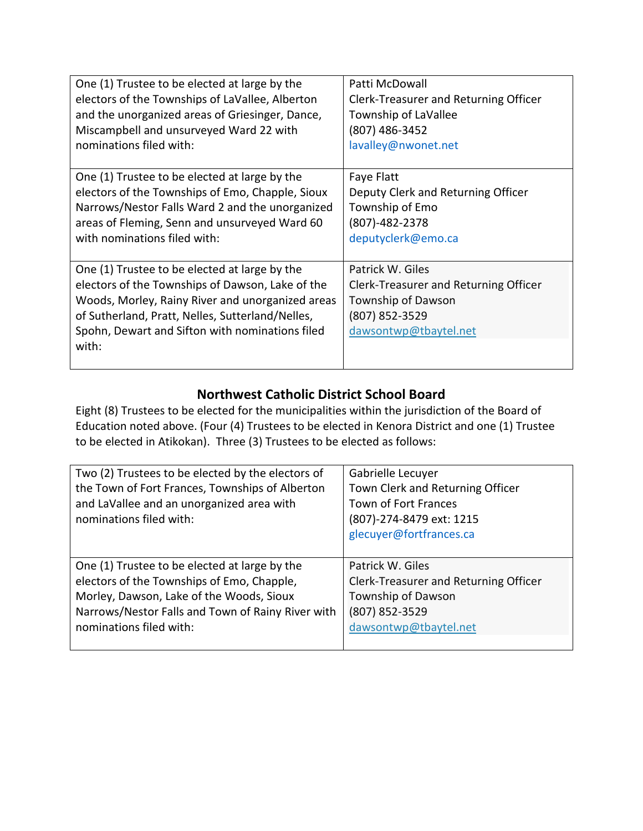| One (1) Trustee to be elected at large by the                                                                                                                                                                                                                         | Patti McDowall                                                                                                             |
|-----------------------------------------------------------------------------------------------------------------------------------------------------------------------------------------------------------------------------------------------------------------------|----------------------------------------------------------------------------------------------------------------------------|
| electors of the Townships of LaVallee, Alberton                                                                                                                                                                                                                       | Clerk-Treasurer and Returning Officer                                                                                      |
| and the unorganized areas of Griesinger, Dance,                                                                                                                                                                                                                       | Township of LaVallee                                                                                                       |
| Miscampbell and unsurveyed Ward 22 with                                                                                                                                                                                                                               | (807) 486-3452                                                                                                             |
| nominations filed with:                                                                                                                                                                                                                                               | lavalley@nwonet.net                                                                                                        |
| One (1) Trustee to be elected at large by the                                                                                                                                                                                                                         | Faye Flatt                                                                                                                 |
| electors of the Townships of Emo, Chapple, Sioux                                                                                                                                                                                                                      | Deputy Clerk and Returning Officer                                                                                         |
| Narrows/Nestor Falls Ward 2 and the unorganized                                                                                                                                                                                                                       | Township of Emo                                                                                                            |
| areas of Fleming, Senn and unsurveyed Ward 60                                                                                                                                                                                                                         | (807)-482-2378                                                                                                             |
| with nominations filed with:                                                                                                                                                                                                                                          | deputyclerk@emo.ca                                                                                                         |
| One (1) Trustee to be elected at large by the<br>electors of the Townships of Dawson, Lake of the<br>Woods, Morley, Rainy River and unorganized areas<br>of Sutherland, Pratt, Nelles, Sutterland/Nelles,<br>Spohn, Dewart and Sifton with nominations filed<br>with: | Patrick W. Giles<br>Clerk-Treasurer and Returning Officer<br>Township of Dawson<br>(807) 852-3529<br>dawsontwp@tbaytel.net |

### **Northwest Catholic District School Board**

Eight (8) Trustees to be elected for the municipalities within the jurisdiction of the Board of Education noted above. (Four (4) Trustees to be elected in Kenora District and one (1) Trustee to be elected in Atikokan). Three (3) Trustees to be elected as follows:

| Two (2) Trustees to be elected by the electors of<br>the Town of Fort Frances, Townships of Alberton<br>and LaVallee and an unorganized area with<br>nominations filed with: | Gabrielle Lecuyer<br>Town Clerk and Returning Officer<br>Town of Fort Frances<br>(807)-274-8479 ext: 1215<br>glecuyer@fortfrances.ca |
|------------------------------------------------------------------------------------------------------------------------------------------------------------------------------|--------------------------------------------------------------------------------------------------------------------------------------|
| One (1) Trustee to be elected at large by the                                                                                                                                | Patrick W. Giles                                                                                                                     |
| electors of the Townships of Emo, Chapple,                                                                                                                                   | Clerk-Treasurer and Returning Officer                                                                                                |
| Morley, Dawson, Lake of the Woods, Sioux                                                                                                                                     | Township of Dawson                                                                                                                   |
| Narrows/Nestor Falls and Town of Rainy River with                                                                                                                            | (807) 852-3529                                                                                                                       |
| nominations filed with:                                                                                                                                                      | dawsontwp@tbaytel.net                                                                                                                |